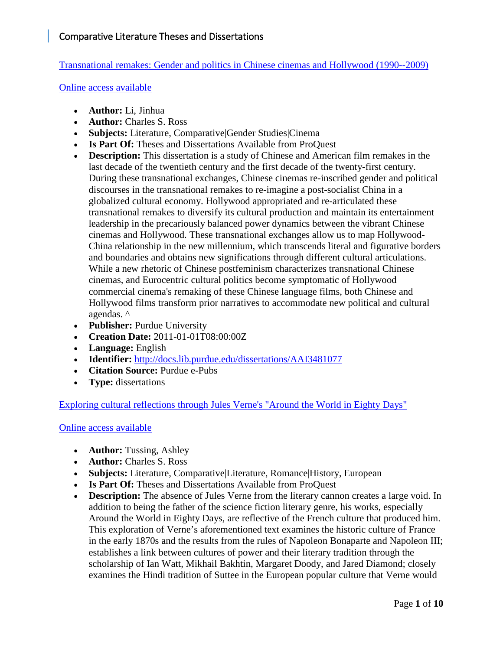[Transnational remakes: Gender and politics in Chinese cinemas and Hollywood \(1990--2009\)](https://secure-web.cisco.com/1ycpxWyVEsUFADUO0O6XA2_xlJQyzGEIGY_DbmJ8wa4sI2z7HK69CyVsY4JEcUcKlaSHxYHN-Z4LaCYFOESjPV9kJVdEfbg95adaRhohsXI2LtirdaZw1Nozzq6Pnseiy6BzzAMBJemBdaQnXMI_F-xXsJPsieB1Dhm9dXiTcpX-jServCbDr_h-bRHcVqyvrhQrtUn2jur6TEG_jKkewz56DU5t07iJ2Ze2mmYmJOiKweBswNkHM946OCXuynSIJ9IWLCNDuRNExGUri9p9Kb8-GY1_4TKzo5onbDQZ4oEv9JRuUVU-0nrXnxJXBFfdAbsAo-PmwBobo8BGwUfEDCr_y4nK3zvvW9NzVwsumDZY/https%3A%2F%2Fpurdue-primo-prod.hosted.exlibrisgroup.com%2Fprimo-explore%2Ffulldisplay%3Fdocid%3DPURDUE_BEPRESSdissertations-11483%26context%3DL%26vid%3DPURDUE%26lang%3Den_US%26search_scope%3Dpurdue_institution_scope%26adaptor%3DLocal%20Search%20Engine)

[Online access available](http://docs.lib.purdue.edu/dissertations/AAI3481077)

- **Author:** Li, Jinhua
- **Author:** Charles S. Ross
- **Subjects:** Literature, Comparative|Gender Studies|Cinema
- **Is Part Of:** Theses and Dissertations Available from ProQuest
- **Description:** This dissertation is a study of Chinese and American film remakes in the last decade of the twentieth century and the first decade of the twenty-first century. During these transnational exchanges, Chinese cinemas re-inscribed gender and political discourses in the transnational remakes to re-imagine a post-socialist China in a globalized cultural economy. Hollywood appropriated and re-articulated these transnational remakes to diversify its cultural production and maintain its entertainment leadership in the precariously balanced power dynamics between the vibrant Chinese cinemas and Hollywood. These transnational exchanges allow us to map Hollywood-China relationship in the new millennium, which transcends literal and figurative borders and boundaries and obtains new significations through different cultural articulations. While a new rhetoric of Chinese postfeminism characterizes transnational Chinese cinemas, and Eurocentric cultural politics become symptomatic of Hollywood commercial cinema's remaking of these Chinese language films, both Chinese and Hollywood films transform prior narratives to accommodate new political and cultural agendas. ^
- **Publisher:** Purdue University
- **Creation Date:** 2011-01-01T08:00:00Z
- **Language:** English
- **Identifier:** <http://docs.lib.purdue.edu/dissertations/AAI3481077>
- **Citation Source:** Purdue e-Pubs
- **Type:** dissertations

[Exploring cultural reflections through Jules Verne's "Around the World in Eighty Days"](https://secure-web.cisco.com/1zAy1MlMKk4MVTFlQFjiQMhjR43CEZjwHo3iRnD6kU9kRs5XBbQo9uCoyGM7sas5pYl1reADSdpyATgl_8hkh-AwixTNbhIc93aDJPQXwoZ_7xMAgcCa28IMZ2jRMw_xGVN_SDQvH7LRjLLubwFDjLREQ0o8_ewjOv7uPEcwkiDzpOZaMv7zctFZSeUeoFR2W23kYwlVpk-swbWZyUKc6bahD0RpQltplHIo6qCjQNUlW-_tE4ZC2XX8cQP1HV8er30G3e8DSU7A4wC3x4RNtx-h0Tq4k5n9V5yC1mqpFZeIuN4dJ3J1x-e8F9fwiQ-6AOpCIE9FMrbC47OX3fzupR6PUyhkAu_HLJojmgO4EwQk/https%3A%2F%2Fpurdue-primo-prod.hosted.exlibrisgroup.com%2Fprimo-explore%2Ffulldisplay%3Fdocid%3DPURDUE_BEPRESSdissertations-10355%26context%3DL%26vid%3DPURDUE%26lang%3Den_US%26search_scope%3Dpurdue_institution_scope%26adaptor%3DLocal%20Search%20Engine)

- **Author:** Tussing, Ashley
- **Author:** Charles S. Ross
- **Subjects:** Literature, Comparative|Literature, Romance|History, European
- **Is Part Of:** Theses and Dissertations Available from ProQuest
- **Description:** The absence of Jules Verne from the literary cannon creates a large void. In addition to being the father of the science fiction literary genre, his works, especially Around the World in Eighty Days, are reflective of the French culture that produced him. This exploration of Verne's aforementioned text examines the historic culture of France in the early 1870s and the results from the rules of Napoleon Bonaparte and Napoleon III; establishes a link between cultures of power and their literary tradition through the scholarship of Ian Watt, Mikhail Bakhtin, Margaret Doody, and Jared Diamond; closely examines the Hindi tradition of Suttee in the European popular culture that Verne would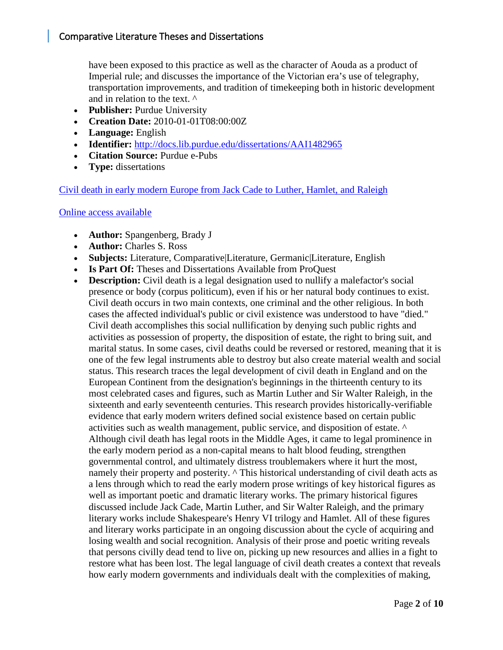have been exposed to this practice as well as the character of Aouda as a product of Imperial rule; and discusses the importance of the Victorian era's use of telegraphy, transportation improvements, and tradition of timekeeping both in historic development and in relation to the text. ^

- **Publisher:** Purdue University
- **Creation Date:** 2010-01-01T08:00:00Z
- **Language:** English
- **Identifier:** <http://docs.lib.purdue.edu/dissertations/AAI1482965>
- **Citation Source:** Purdue e-Pubs
- **Type:** dissertations

#### [Civil death in early modern Europe from Jack Cade to Luther, Hamlet, and Raleigh](https://secure-web.cisco.com/1pMQFJ7q7y378pFO6AZ09BsrDrvRm4VNovi9y-xJ4DlA29TsuhWBl49wFlHY9u9gtkqUfCvV4ycPKQ3GJHs3m--Rw2yxKyR_QNMZgwbYH5dTnK8mjCwgq-qRxCpaln2v_DD_mxCCUDkS6RIVnzYGWlazLda9cHEjYPQHMXJtL6xT-bSeVaMa91kGPurImKxql37effyfW-Pcd8hvVi2xpG7kEg6qnLs2UNp9w1m2nx8WGcBcTg074-BlgxiIB3lIEn47em192-HBE1bCBDVbusKc8Ittl1k6sFkQbO69HJMihxik3AEmJjhglDeyJI1xsT6aIglfWdL5Zqe4MeuPtpVhsH3jWy9pmKsuzhve9454/https%3A%2F%2Fpurdue-primo-prod.hosted.exlibrisgroup.com%2Fprimo-explore%2Ffulldisplay%3Fdocid%3DPURDUE_BEPRESSdissertations-11168%26context%3DL%26vid%3DPURDUE%26lang%3Den_US%26search_scope%3Dpurdue_institution_scope%26adaptor%3DLocal%20Search%20Engine)

- **Author:** Spangenberg, Brady J
- **Author:** Charles S. Ross
- **Subjects:** Literature, Comparative|Literature, Germanic|Literature, English
- **Is Part Of:** Theses and Dissertations Available from ProQuest
- **Description:** Civil death is a legal designation used to nullify a malefactor's social presence or body (corpus politicum), even if his or her natural body continues to exist. Civil death occurs in two main contexts, one criminal and the other religious. In both cases the affected individual's public or civil existence was understood to have "died." Civil death accomplishes this social nullification by denying such public rights and activities as possession of property, the disposition of estate, the right to bring suit, and marital status. In some cases, civil deaths could be reversed or restored, meaning that it is one of the few legal instruments able to destroy but also create material wealth and social status. This research traces the legal development of civil death in England and on the European Continent from the designation's beginnings in the thirteenth century to its most celebrated cases and figures, such as Martin Luther and Sir Walter Raleigh, in the sixteenth and early seventeenth centuries. This research provides historically-verifiable evidence that early modern writers defined social existence based on certain public activities such as wealth management, public service, and disposition of estate. ^ Although civil death has legal roots in the Middle Ages, it came to legal prominence in the early modern period as a non-capital means to halt blood feuding, strengthen governmental control, and ultimately distress troublemakers where it hurt the most, namely their property and posterity.  $\wedge$  This historical understanding of civil death acts as a lens through which to read the early modern prose writings of key historical figures as well as important poetic and dramatic literary works. The primary historical figures discussed include Jack Cade, Martin Luther, and Sir Walter Raleigh, and the primary literary works include Shakespeare's Henry VI trilogy and Hamlet. All of these figures and literary works participate in an ongoing discussion about the cycle of acquiring and losing wealth and social recognition. Analysis of their prose and poetic writing reveals that persons civilly dead tend to live on, picking up new resources and allies in a fight to restore what has been lost. The legal language of civil death creates a context that reveals how early modern governments and individuals dealt with the complexities of making,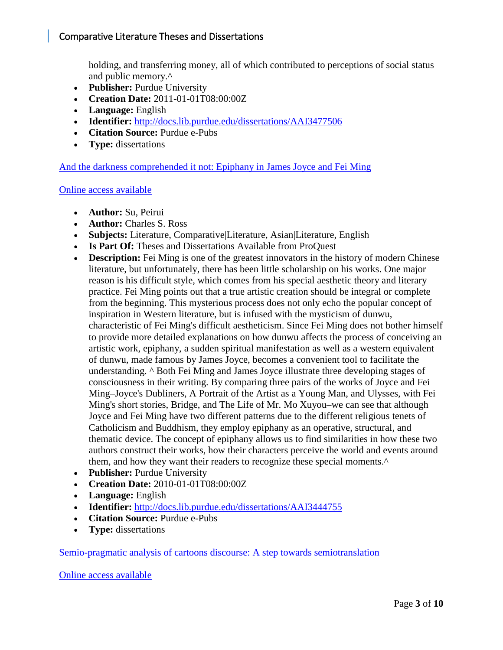holding, and transferring money, all of which contributed to perceptions of social status and public memory.^

- **Publisher:** Purdue University
- **Creation Date:** 2011-01-01T08:00:00Z
- **Language:** English
- **Identifier:** <http://docs.lib.purdue.edu/dissertations/AAI3477506>
- **Citation Source:** Purdue e-Pubs
- **Type:** dissertations

[And the darkness comprehended it not: Epiphany in James Joyce and Fei Ming](https://secure-web.cisco.com/1Do1_lVrqyQRhz-yWfmXtje3Y7F1oTWR-9GRnTlB2vtT_RtuWPTtj-lOPKbWVx5fyJwogr8prNaIdOAuoU1hLZf_VjA58QyL3E-7J3PUp2MOyU-zZgmTYQG8rpu9CwdZLMtwMvPY4XUJA70uZQVg9WAKhIxA7nqwQIbOPKrnpiynpks0ZL5c6TfCcz8FxoUe0UHl5fNQB1dznH_K3YgUG8SwWvR0fLpfc81m3ze8DNQUFFOZFE1CC3lbqK4lIIkLixee6UUDtd-QXcjrBgHUUhALfgI0giJEXsXw6e35Zhkg4R85Am-DvsyRvLiusQK55kOeOzWTdqr7VDa0c3U2AJXkmG7ghvtUGWZ8jTApqjk4/https%3A%2F%2Fpurdue-primo-prod.hosted.exlibrisgroup.com%2Fprimo-explore%2Ffulldisplay%3Fdocid%3DPURDUE_BEPRESSdissertations-10590%26context%3DL%26vid%3DPURDUE%26lang%3Den_US%26search_scope%3Dpurdue_institution_scope%26adaptor%3DLocal%20Search%20Engine)

[Online access available](http://docs.lib.purdue.edu/dissertations/AAI3444755)

- **Author:** Su, Peirui
- **Author:** Charles S. Ross
- **Subjects:** Literature, Comparative|Literature, Asian|Literature, English
- **Is Part Of:** Theses and Dissertations Available from ProQuest
- **Description:** Fei Ming is one of the greatest innovators in the history of modern Chinese literature, but unfortunately, there has been little scholarship on his works. One major reason is his difficult style, which comes from his special aesthetic theory and literary practice. Fei Ming points out that a true artistic creation should be integral or complete from the beginning. This mysterious process does not only echo the popular concept of inspiration in Western literature, but is infused with the mysticism of dunwu, characteristic of Fei Ming's difficult aestheticism. Since Fei Ming does not bother himself to provide more detailed explanations on how dunwu affects the process of conceiving an artistic work, epiphany, a sudden spiritual manifestation as well as a western equivalent of dunwu, made famous by James Joyce, becomes a convenient tool to facilitate the understanding. ^ Both Fei Ming and James Joyce illustrate three developing stages of consciousness in their writing. By comparing three pairs of the works of Joyce and Fei Ming–Joyce's Dubliners, A Portrait of the Artist as a Young Man, and Ulysses, with Fei Ming's short stories, Bridge, and The Life of Mr. Mo Xuyou–we can see that although Joyce and Fei Ming have two different patterns due to the different religious tenets of Catholicism and Buddhism, they employ epiphany as an operative, structural, and thematic device. The concept of epiphany allows us to find similarities in how these two authors construct their works, how their characters perceive the world and events around them, and how they want their readers to recognize these special moments.^
- **Publisher:** Purdue University
- **Creation Date:** 2010-01-01T08:00:00Z
- **Language:** English
- **Identifier:** <http://docs.lib.purdue.edu/dissertations/AAI3444755>
- **Citation Source:** Purdue e-Pubs
- **Type:** dissertations

[Semio-pragmatic analysis of cartoons discourse: A step towards semiotranslation](https://secure-web.cisco.com/1oVuuOh-f9n7d9uIYNgD5bJD7SDxrd0YspBuJ63Uf8zKqw2_f_mr-UF7vC8rCOYIF6pqVIJYZir6JJYPq_QDXguIK5NPsA71rIUKPf1ggvYsNPCNJo1zmOK5wBfMbYexCAexJSoFKmoTW7XPC49xtdLacWGmMlgQVXCTl0z2xWiDSzdGNjdvjmb_HUD2m8NVgeMk7cRw764gkvu1Yczou0bibQErv5-YY_84weWliU2qu552lBfNSfn9Vh9uWG5CEJX3qgjS6R4TMeT83h-GhwX9fO_s40nbuV9zDpMmtjWT4zb9gNMUe3luAaoe_lhbk7Koun5B8GhmH5nq-Oo0tPuhFkXqSX38A6st9wf79S_Q/https%3A%2F%2Fpurdue-primo-prod.hosted.exlibrisgroup.com%2Fprimo-explore%2Ffulldisplay%3Fdocid%3DPURDUE_BEPRESSdissertations-11137%26context%3DL%26vid%3DPURDUE%26lang%3Den_US%26search_scope%3Dpurdue_institution_scope%26adaptor%3DLocal%20Search%20Engine)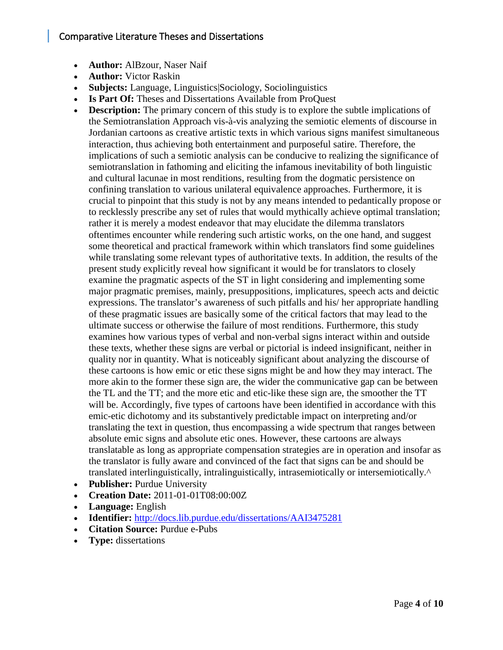- **Author:** AlBzour, Naser Naif
- **Author:** Victor Raskin
- **Subjects:** Language, Linguistics|Sociology, Sociolinguistics
- **Is Part Of:** Theses and Dissertations Available from ProQuest
	- **Description:** The primary concern of this study is to explore the subtle implications of the Semiotranslation Approach vis-à-vis analyzing the semiotic elements of discourse in Jordanian cartoons as creative artistic texts in which various signs manifest simultaneous interaction, thus achieving both entertainment and purposeful satire. Therefore, the implications of such a semiotic analysis can be conducive to realizing the significance of semiotranslation in fathoming and eliciting the infamous inevitability of both linguistic and cultural lacunae in most renditions, resulting from the dogmatic persistence on confining translation to various unilateral equivalence approaches. Furthermore, it is crucial to pinpoint that this study is not by any means intended to pedantically propose or to recklessly prescribe any set of rules that would mythically achieve optimal translation; rather it is merely a modest endeavor that may elucidate the dilemma translators oftentimes encounter while rendering such artistic works, on the one hand, and suggest some theoretical and practical framework within which translators find some guidelines while translating some relevant types of authoritative texts. In addition, the results of the present study explicitly reveal how significant it would be for translators to closely examine the pragmatic aspects of the ST in light considering and implementing some major pragmatic premises, mainly, presuppositions, implicatures, speech acts and deictic expressions. The translator's awareness of such pitfalls and his/ her appropriate handling of these pragmatic issues are basically some of the critical factors that may lead to the ultimate success or otherwise the failure of most renditions. Furthermore, this study examines how various types of verbal and non-verbal signs interact within and outside these texts, whether these signs are verbal or pictorial is indeed insignificant, neither in quality nor in quantity. What is noticeably significant about analyzing the discourse of these cartoons is how emic or etic these signs might be and how they may interact. The more akin to the former these sign are, the wider the communicative gap can be between the TL and the TT; and the more etic and etic-like these sign are, the smoother the TT will be. Accordingly, five types of cartoons have been identified in accordance with this emic-etic dichotomy and its substantively predictable impact on interpreting and/or translating the text in question, thus encompassing a wide spectrum that ranges between absolute emic signs and absolute etic ones. However, these cartoons are always translatable as long as appropriate compensation strategies are in operation and insofar as the translator is fully aware and convinced of the fact that signs can be and should be translated interlinguistically, intralinguistically, intrasemiotically or intersemiotically.^
- **Publisher:** Purdue University
- **Creation Date:** 2011-01-01T08:00:00Z
- **Language:** English
- **Identifier:** <http://docs.lib.purdue.edu/dissertations/AAI3475281>
- **Citation Source:** Purdue e-Pubs
- **Type:** dissertations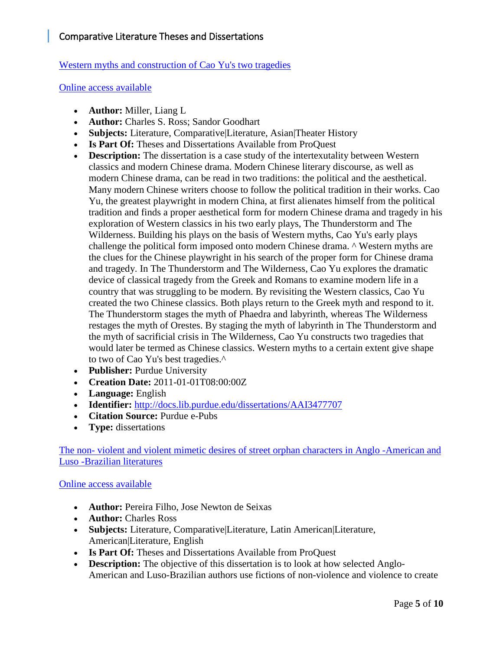[Western myths and construction of Cao Yu's two tragedies](https://secure-web.cisco.com/15eBtrp0IntQBxp-CayWFZxq5JyIm7A8EUNH5kfSCdHEVI0WL9xK_E6kVFbe2j5T_9IKaimQpQwcjOCXSovoTiyWJvRjIlfco7j9m0PsCBvXtuHrVBkZ38UabDPk8-reLpmGvURPJ22VxyTBxH5WL5WOIzcDGwZWrko0VZgkLWgoMFJz-N2aSz5OuPfiayaUBL_vQ0NiUFDGED_XuCSZ6cTpY1dfA-YwrVK0zriuH9xhOZyaVghB8BDQFqq63r-rGTs17fth7Z8iwu1Klt9JNBTWySDSvsPkuFrVquOVxWEpEH4srco5GkpbWfcOAuKa2r1RXccjWxKIp5qu07uoJlmFDYZH2lkpZy6auAP2ljSc/https%3A%2F%2Fpurdue-primo-prod.hosted.exlibrisgroup.com%2Fprimo-explore%2Ffulldisplay%3Fdocid%3DPURDUE_BEPRESSdissertations-11232%26context%3DL%26vid%3DPURDUE%26lang%3Den_US%26search_scope%3Dpurdue_institution_scope%26adaptor%3DLocal%20Search%20Engine)

[Online access available](http://docs.lib.purdue.edu/dissertations/AAI3477707)

- **Author:** Miller, Liang L
- **Author:** Charles S. Ross; Sandor Goodhart
- **Subjects:** Literature, Comparative|Literature, Asian|Theater History
- **Is Part Of:** Theses and Dissertations Available from ProQuest
- **Description:** The dissertation is a case study of the intertexutality between Western classics and modern Chinese drama. Modern Chinese literary discourse, as well as modern Chinese drama, can be read in two traditions: the political and the aesthetical. Many modern Chinese writers choose to follow the political tradition in their works. Cao Yu, the greatest playwright in modern China, at first alienates himself from the political tradition and finds a proper aesthetical form for modern Chinese drama and tragedy in his exploration of Western classics in his two early plays, The Thunderstorm and The Wilderness. Building his plays on the basis of Western myths, Cao Yu's early plays challenge the political form imposed onto modern Chinese drama. ^ Western myths are the clues for the Chinese playwright in his search of the proper form for Chinese drama and tragedy. In The Thunderstorm and The Wilderness, Cao Yu explores the dramatic device of classical tragedy from the Greek and Romans to examine modern life in a country that was struggling to be modern. By revisiting the Western classics, Cao Yu created the two Chinese classics. Both plays return to the Greek myth and respond to it. The Thunderstorm stages the myth of Phaedra and labyrinth, whereas The Wilderness restages the myth of Orestes. By staging the myth of labyrinth in The Thunderstorm and the myth of sacrificial crisis in The Wilderness, Cao Yu constructs two tragedies that would later be termed as Chinese classics. Western myths to a certain extent give shape to two of Cao Yu's best tragedies.^
- **Publisher:** Purdue University
- **Creation Date:** 2011-01-01T08:00:00Z
- **Language:** English
- **Identifier:** <http://docs.lib.purdue.edu/dissertations/AAI3477707>
- **Citation Source:** Purdue e-Pubs
- **Type:** dissertations

The non- [violent and violent mimetic desires of street orphan characters in Anglo -American and](https://secure-web.cisco.com/1wYVc7yRrIEpq-8er5OlrNd5t-FhPrw_IonTgOdctXI77lBwkyscKc5mdXV-yoN17pyqjsuUVfyzYOohZaaQ6m47MATgVUwElIvJx8_G2oC8sZ9iLjXFhRrGCc40ihDNnUwhGXxmK_27hWY_e0geOihiN1FqWb0oqxNQ-4It9L9HSLkj1pPPW84A7ETKmbK4b-eCdSEA8nGjX1gxoUIINTN2EbzAp2TOvQoDfzNglB9Jl745gqF8gROdQXOxaW65EF-Yq1hREK5D2blHC0_NhFQPkrs6rp4sYWMO4D5l7Vj-rPIDZDqYw82D-6_2BeClxMavUzVfFBFtGgmtwqHZaR3Lk1JpZ7kAtVlszKWAL8dg/https%3A%2F%2Fpurdue-primo-prod.hosted.exlibrisgroup.com%2Fprimo-explore%2Ffulldisplay%3Fdocid%3DPURDUE_BEPRESSdissertations-9572%26context%3DL%26vid%3DPURDUE%26lang%3Den_US%26search_scope%3Dpurdue_institution_scope%26adaptor%3DLocal%20Search%20Engine)  [Luso -Brazilian literatures](https://secure-web.cisco.com/1wYVc7yRrIEpq-8er5OlrNd5t-FhPrw_IonTgOdctXI77lBwkyscKc5mdXV-yoN17pyqjsuUVfyzYOohZaaQ6m47MATgVUwElIvJx8_G2oC8sZ9iLjXFhRrGCc40ihDNnUwhGXxmK_27hWY_e0geOihiN1FqWb0oqxNQ-4It9L9HSLkj1pPPW84A7ETKmbK4b-eCdSEA8nGjX1gxoUIINTN2EbzAp2TOvQoDfzNglB9Jl745gqF8gROdQXOxaW65EF-Yq1hREK5D2blHC0_NhFQPkrs6rp4sYWMO4D5l7Vj-rPIDZDqYw82D-6_2BeClxMavUzVfFBFtGgmtwqHZaR3Lk1JpZ7kAtVlszKWAL8dg/https%3A%2F%2Fpurdue-primo-prod.hosted.exlibrisgroup.com%2Fprimo-explore%2Ffulldisplay%3Fdocid%3DPURDUE_BEPRESSdissertations-9572%26context%3DL%26vid%3DPURDUE%26lang%3Den_US%26search_scope%3Dpurdue_institution_scope%26adaptor%3DLocal%20Search%20Engine)

- **Author:** Pereira Filho, Jose Newton de Seixas
- **Author:** Charles Ross
- **Subjects:** Literature, Comparative|Literature, Latin American|Literature, American|Literature, English
- **Is Part Of:** Theses and Dissertations Available from ProQuest
- **Description:** The objective of this dissertation is to look at how selected Anglo-American and Luso-Brazilian authors use fictions of non-violence and violence to create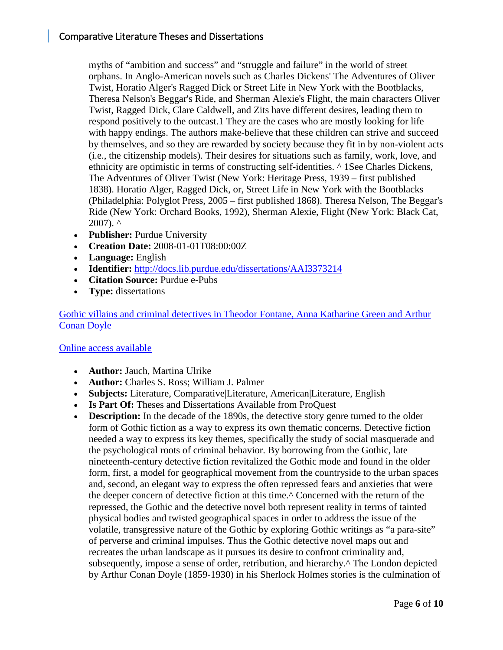myths of "ambition and success" and "struggle and failure" in the world of street orphans. In Anglo-American novels such as Charles Dickens' The Adventures of Oliver Twist, Horatio Alger's Ragged Dick or Street Life in New York with the Bootblacks, Theresa Nelson's Beggar's Ride, and Sherman Alexie's Flight, the main characters Oliver Twist, Ragged Dick, Clare Caldwell, and Zits have different desires, leading them to respond positively to the outcast.1 They are the cases who are mostly looking for life with happy endings. The authors make-believe that these children can strive and succeed by themselves, and so they are rewarded by society because they fit in by non-violent acts (i.e., the citizenship models). Their desires for situations such as family, work, love, and ethnicity are optimistic in terms of constructing self-identities. ^ 1See Charles Dickens, The Adventures of Oliver Twist (New York: Heritage Press, 1939 – first published 1838). Horatio Alger, Ragged Dick, or, Street Life in New York with the Bootblacks (Philadelphia: Polyglot Press, 2005 – first published 1868). Theresa Nelson, The Beggar's Ride (New York: Orchard Books, 1992), Sherman Alexie, Flight (New York: Black Cat,  $2007$ ). ^

- **Publisher:** Purdue University
- **Creation Date:** 2008-01-01T08:00:00Z
- **Language:** English
- **Identifier:** <http://docs.lib.purdue.edu/dissertations/AAI3373214>
- **Citation Source:** Purdue e-Pubs
- **Type:** dissertations

[Gothic villains and criminal detectives in Theodor Fontane, Anna Katharine Green and Arthur](https://secure-web.cisco.com/1Rvow7IRLH8CSCC-n7qf1oF2QX3D1KEjYBMWSEAJ-H1T0HpUaZ69qxr_KFOmbFXhbFxxM4kiNzi0sQLsNPaur0e7Ln3ohyi57Cy3QeyIkOcqke8qeGFINBZsBHB3Hzvyp7XacSeyYP13XtWa0j4sIH7YKGrwHnvh-P9v0xy4jWKqbyDEeDO2XF52l_P-8lXw9v5tCAn2cJQSVoyZUMPlwZuo23SbbuBajP9TL11Tl6OR_ULhdEhzpHX5NXdzwr72duAmJyOp3eWkeWSWN2GJlJ3-aZCd09Lv11QeY25eyU7Li_12Xv4xhe2CFSnK2ADTwmqVErBNl_v4tBd9e8RLvDN1x5nyXFjUR_QcPWRLRbsU/https%3A%2F%2Fpurdue-primo-prod.hosted.exlibrisgroup.com%2Fprimo-explore%2Ffulldisplay%3Fdocid%3DPURDUE_BEPRESSdissertations-9620%26context%3DL%26vid%3DPURDUE%26lang%3Den_US%26search_scope%3Dpurdue_institution_scope%26adaptor%3DLocal%20Search%20Engine)  [Conan Doyle](https://secure-web.cisco.com/1Rvow7IRLH8CSCC-n7qf1oF2QX3D1KEjYBMWSEAJ-H1T0HpUaZ69qxr_KFOmbFXhbFxxM4kiNzi0sQLsNPaur0e7Ln3ohyi57Cy3QeyIkOcqke8qeGFINBZsBHB3Hzvyp7XacSeyYP13XtWa0j4sIH7YKGrwHnvh-P9v0xy4jWKqbyDEeDO2XF52l_P-8lXw9v5tCAn2cJQSVoyZUMPlwZuo23SbbuBajP9TL11Tl6OR_ULhdEhzpHX5NXdzwr72duAmJyOp3eWkeWSWN2GJlJ3-aZCd09Lv11QeY25eyU7Li_12Xv4xhe2CFSnK2ADTwmqVErBNl_v4tBd9e8RLvDN1x5nyXFjUR_QcPWRLRbsU/https%3A%2F%2Fpurdue-primo-prod.hosted.exlibrisgroup.com%2Fprimo-explore%2Ffulldisplay%3Fdocid%3DPURDUE_BEPRESSdissertations-9620%26context%3DL%26vid%3DPURDUE%26lang%3Den_US%26search_scope%3Dpurdue_institution_scope%26adaptor%3DLocal%20Search%20Engine)

- **Author:** Jauch, Martina Ulrike
- **Author:** Charles S. Ross; William J. Palmer
- **Subjects:** Literature, Comparative|Literature, American|Literature, English
- **Is Part Of:** Theses and Dissertations Available from ProQuest
- **Description:** In the decade of the 1890s, the detective story genre turned to the older form of Gothic fiction as a way to express its own thematic concerns. Detective fiction needed a way to express its key themes, specifically the study of social masquerade and the psychological roots of criminal behavior. By borrowing from the Gothic, late nineteenth-century detective fiction revitalized the Gothic mode and found in the older form, first, a model for geographical movement from the countryside to the urban spaces and, second, an elegant way to express the often repressed fears and anxieties that were the deeper concern of detective fiction at this time.^ Concerned with the return of the repressed, the Gothic and the detective novel both represent reality in terms of tainted physical bodies and twisted geographical spaces in order to address the issue of the volatile, transgressive nature of the Gothic by exploring Gothic writings as "a para-site" of perverse and criminal impulses. Thus the Gothic detective novel maps out and recreates the urban landscape as it pursues its desire to confront criminality and, subsequently, impose a sense of order, retribution, and hierarchy.^ The London depicted by Arthur Conan Doyle (1859-1930) in his Sherlock Holmes stories is the culmination of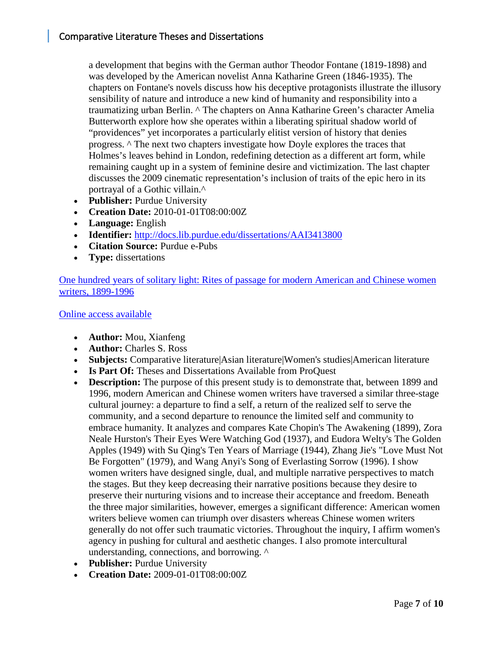a development that begins with the German author Theodor Fontane (1819-1898) and was developed by the American novelist Anna Katharine Green (1846-1935). The chapters on Fontane's novels discuss how his deceptive protagonists illustrate the illusory sensibility of nature and introduce a new kind of humanity and responsibility into a traumatizing urban Berlin. ^ The chapters on Anna Katharine Green's character Amelia Butterworth explore how she operates within a liberating spiritual shadow world of "providences" yet incorporates a particularly elitist version of history that denies progress. ^ The next two chapters investigate how Doyle explores the traces that Holmes's leaves behind in London, redefining detection as a different art form, while remaining caught up in a system of feminine desire and victimization. The last chapter discusses the 2009 cinematic representation's inclusion of traits of the epic hero in its portrayal of a Gothic villain.^

- **Publisher:** Purdue University
- **Creation Date:** 2010-01-01T08:00:00Z
- **Language:** English
- **Identifier:** <http://docs.lib.purdue.edu/dissertations/AAI3413800>
- **Citation Source:** Purdue e-Pubs
- **Type:** dissertations

[One hundred years of solitary light: Rites of passage for modern American and Chinese women](https://secure-web.cisco.com/1uqYs960fbBxdt_SEF2lU1o50Kvx_ytUjpd8r_UOX03QGAkBPxmbxqdNUd5IQ8Ws2e-6BZd3xP3lvNBPoJW2lNt4trQSjRQeq718JIwd-V1Jnp4RpxDgXTMjhKrwnGj1QT59UjKjszeF2XLGkfxObOX_98oJ7lo3zF5yFydWiw5K7-K-ht_yWC1ePVfu3fSoDj5uxxWLMeEecMEdppMlTlrkUJv3p4dM6Zwedz-j3ZMiQ2aLYOcI1ALmWnsFFQ9ueDDjZqtTCQ9PQ3FVU6U66xIv_7kvRA5kqqiU9kh5Vme_HRBpDASbyV9JSg9n-o4yJpuGQrM6jCUzURKPgwVvoH4QzfCKa2dpK5l6uxC6HqoA/https%3A%2F%2Fpurdue-primo-prod.hosted.exlibrisgroup.com%2Fprimo-explore%2Ffulldisplay%3Fdocid%3DPURDUE_BEPRESSdissertations-8870%26context%3DL%26vid%3DPURDUE%26lang%3Den_US%26search_scope%3Dpurdue_institution_scope%26adaptor%3DLocal%20Search%20Engine)  [writers, 1899-1996](https://secure-web.cisco.com/1uqYs960fbBxdt_SEF2lU1o50Kvx_ytUjpd8r_UOX03QGAkBPxmbxqdNUd5IQ8Ws2e-6BZd3xP3lvNBPoJW2lNt4trQSjRQeq718JIwd-V1Jnp4RpxDgXTMjhKrwnGj1QT59UjKjszeF2XLGkfxObOX_98oJ7lo3zF5yFydWiw5K7-K-ht_yWC1ePVfu3fSoDj5uxxWLMeEecMEdppMlTlrkUJv3p4dM6Zwedz-j3ZMiQ2aLYOcI1ALmWnsFFQ9ueDDjZqtTCQ9PQ3FVU6U66xIv_7kvRA5kqqiU9kh5Vme_HRBpDASbyV9JSg9n-o4yJpuGQrM6jCUzURKPgwVvoH4QzfCKa2dpK5l6uxC6HqoA/https%3A%2F%2Fpurdue-primo-prod.hosted.exlibrisgroup.com%2Fprimo-explore%2Ffulldisplay%3Fdocid%3DPURDUE_BEPRESSdissertations-8870%26context%3DL%26vid%3DPURDUE%26lang%3Den_US%26search_scope%3Dpurdue_institution_scope%26adaptor%3DLocal%20Search%20Engine)

- **Author:** Mou, Xianfeng
- **Author:** Charles S. Ross
- **Subjects:** Comparative literature|Asian literature|Women's studies|American literature
- **Is Part Of:** Theses and Dissertations Available from ProQuest
- **Description:** The purpose of this present study is to demonstrate that, between 1899 and 1996, modern American and Chinese women writers have traversed a similar three-stage cultural journey: a departure to find a self, a return of the realized self to serve the community, and a second departure to renounce the limited self and community to embrace humanity. It analyzes and compares Kate Chopin's The Awakening (1899), Zora Neale Hurston's Their Eyes Were Watching God (1937), and Eudora Welty's The Golden Apples (1949) with Su Qing's Ten Years of Marriage (1944), Zhang Jie's "Love Must Not Be Forgotten" (1979), and Wang Anyi's Song of Everlasting Sorrow (1996). I show women writers have designed single, dual, and multiple narrative perspectives to match the stages. But they keep decreasing their narrative positions because they desire to preserve their nurturing visions and to increase their acceptance and freedom. Beneath the three major similarities, however, emerges a significant difference: American women writers believe women can triumph over disasters whereas Chinese women writers generally do not offer such traumatic victories. Throughout the inquiry, I affirm women's agency in pushing for cultural and aesthetic changes. I also promote intercultural understanding, connections, and borrowing. ^
- **Publisher:** Purdue University
- **Creation Date:** 2009-01-01T08:00:00Z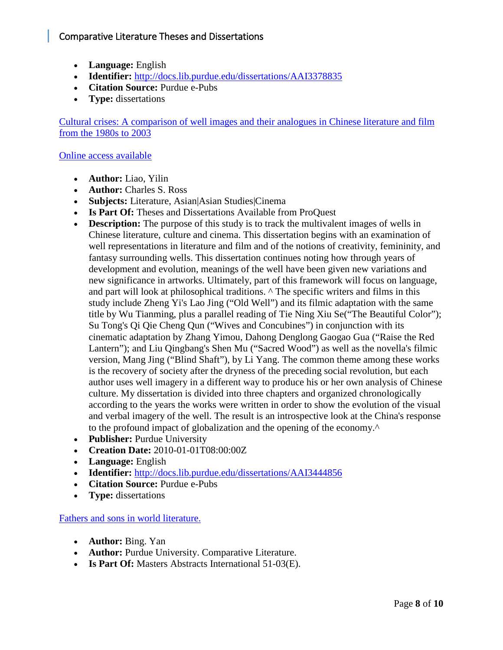- **Language:** English
- **Identifier:** <http://docs.lib.purdue.edu/dissertations/AAI3378835>
- **Citation Source:** Purdue e-Pubs
- **Type:** dissertations

[Cultural crises: A comparison of well images and their analogues in Chinese literature and film](https://secure-web.cisco.com/1KP_f8WmseUk_U4UIGfPU5NyHMVeFmQoFk1U5Tl-PLbvKIHIA4bplzkD7WsjJ_vG7tumJCqLH2J0XvxuKr1vG4X09bLj8LVSDX7hKx_K0h97NEeMe27R32iOrLRbbOrvf8FjS-S39PKHgvsoH3VE-9KHvjsBfN5bW-9pG-RW9NUxNXX7HXWx0Fekga8JeGofqhIc3FghhahkpxWOvGv4Ga6DT3xdeSrGHszznPgWWMgJIhX0m4lAHZCptb8S_CipcZwAN3_BLbC3Dmphr2a6KZdjamaONR7_iCT0s9KYeZVxU-gxjS4LZQi6OyGEXZIUFP4F7cAf-gcveFQ9Z0m7e8rgldJ7q6jRHPMFddHmbcYE/https%3A%2F%2Fpurdue-primo-prod.hosted.exlibrisgroup.com%2Fprimo-explore%2Ffulldisplay%3Fdocid%3DPURDUE_BEPRESSdissertations-11891%26context%3DL%26vid%3DPURDUE%26lang%3Den_US%26search_scope%3Dpurdue_institution_scope%26adaptor%3DLocal%20Search%20Engine)  [from the 1980s to 2003](https://secure-web.cisco.com/1KP_f8WmseUk_U4UIGfPU5NyHMVeFmQoFk1U5Tl-PLbvKIHIA4bplzkD7WsjJ_vG7tumJCqLH2J0XvxuKr1vG4X09bLj8LVSDX7hKx_K0h97NEeMe27R32iOrLRbbOrvf8FjS-S39PKHgvsoH3VE-9KHvjsBfN5bW-9pG-RW9NUxNXX7HXWx0Fekga8JeGofqhIc3FghhahkpxWOvGv4Ga6DT3xdeSrGHszznPgWWMgJIhX0m4lAHZCptb8S_CipcZwAN3_BLbC3Dmphr2a6KZdjamaONR7_iCT0s9KYeZVxU-gxjS4LZQi6OyGEXZIUFP4F7cAf-gcveFQ9Z0m7e8rgldJ7q6jRHPMFddHmbcYE/https%3A%2F%2Fpurdue-primo-prod.hosted.exlibrisgroup.com%2Fprimo-explore%2Ffulldisplay%3Fdocid%3DPURDUE_BEPRESSdissertations-11891%26context%3DL%26vid%3DPURDUE%26lang%3Den_US%26search_scope%3Dpurdue_institution_scope%26adaptor%3DLocal%20Search%20Engine)

### [Online access available](http://docs.lib.purdue.edu/dissertations/AAI3444856)

- **Author:** Liao, Yilin
- **Author:** Charles S. Ross
- **Subjects:** Literature, Asian|Asian Studies|Cinema
- **Is Part Of:** Theses and Dissertations Available from ProQuest
- **Description:** The purpose of this study is to track the multivalent images of wells in Chinese literature, culture and cinema. This dissertation begins with an examination of well representations in literature and film and of the notions of creativity, femininity, and fantasy surrounding wells. This dissertation continues noting how through years of development and evolution, meanings of the well have been given new variations and new significance in artworks. Ultimately, part of this framework will focus on language, and part will look at philosophical traditions. ^ The specific writers and films in this study include Zheng Yi's Lao Jing ("Old Well") and its filmic adaptation with the same title by Wu Tianming, plus a parallel reading of Tie Ning Xiu Se("The Beautiful Color"); Su Tong's Qi Qie Cheng Qun ("Wives and Concubines") in conjunction with its cinematic adaptation by Zhang Yimou, Dahong Denglong Gaogao Gua ("Raise the Red Lantern"); and Liu Qingbang's Shen Mu ("Sacred Wood") as well as the novella's filmic version, Mang Jing ("Blind Shaft"), by Li Yang. The common theme among these works is the recovery of society after the dryness of the preceding social revolution, but each author uses well imagery in a different way to produce his or her own analysis of Chinese culture. My dissertation is divided into three chapters and organized chronologically according to the years the works were written in order to show the evolution of the visual and verbal imagery of the well. The result is an introspective look at the China's response to the profound impact of globalization and the opening of the economy.^
- **Publisher:** Purdue University
- **Creation Date:** 2010-01-01T08:00:00Z
- **Language:** English
- **Identifier:** <http://docs.lib.purdue.edu/dissertations/AAI3444856>
- **Citation Source:** Purdue e-Pubs
- **Type:** dissertations

### [Fathers and sons in world literature.](https://secure-web.cisco.com/1Xpe9cksQU3pNLE5E9NKANul-EGSbq7FKATV5-COgAe8n5IdpgzMygwI2Xnqs3zXlG8EvCJCZL0AZ5v_-irepXghE29i1faz1XvpBmFQL4qTZAHOZZIi7wXZueR2mp1tAkinYUnKuP-byBVETunhmI9L9Oa_fNARZJzSmlQ_HSAMYqbNBlcvzY5PiGkOlK_blNnHVKJ_4rcyLomnsJeMfxGEz6jvDOf90qf6N0NED3s9GH0pwm2gVZQybPiUr1RRSRWFU-skJbToYCYsa7RlqSkooKSuB9n6ZTCfpgA2MumblEhMeqtUil6IP55GF85TT-7Wt-FXjU6eUJN2N2C6hyZpPmAf8Gc2HStQjjVHYmNs/https%3A%2F%2Fpurdue-primo-prod.hosted.exlibrisgroup.com%2Fprimo-explore%2Ffulldisplay%3Fdocid%3DPURDUE_ALMA51591615780001081%26context%3DL%26vid%3DPURDUE%26lang%3Den_US%26search_scope%3Dpurdue_institution_scope%26adaptor%3DLocal%20Search%20Engine)

- **Author:** Bing. Yan
- **Author: Purdue University. Comparative Literature.**
- **Is Part Of:** Masters Abstracts International 51-03(E).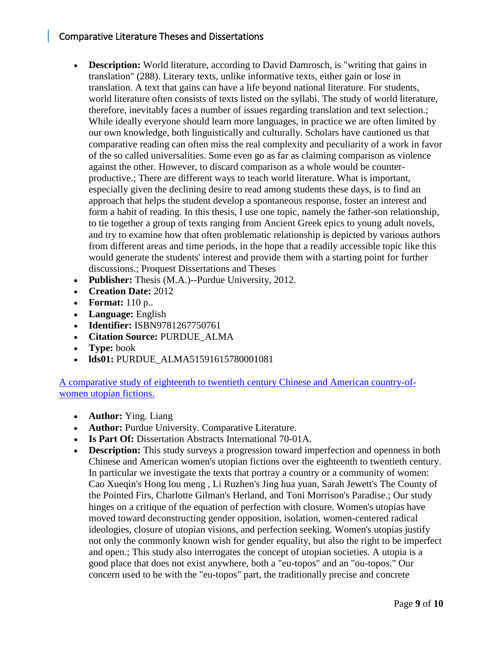- **Description:** World literature, according to David Damrosch, is "writing that gains in translation" (288). Literary texts, unlike informative texts, either gain or lose in translation. A text that gains can have a life beyond national literature. For students, world literature often consists of texts listed on the syllabi. The study of world literature, therefore, inevitably faces a number of issues regarding translation and text selection.; While ideally everyone should learn more languages, in practice we are often limited by our own knowledge, both linguistically and culturally. Scholars have cautioned us that comparative reading can often miss the real complexity and peculiarity of a work in favor of the so called universalities. Some even go as far as claiming comparison as violence against the other. However, to discard comparison as a whole would be counterproductive.; There are different ways to teach world literature. What is important, especially given the declining desire to read among students these days, is to find an approach that helps the student develop a spontaneous response, foster an interest and form a habit of reading. In this thesis, I use one topic, namely the father-son relationship, to tie together a group of texts ranging from Ancient Greek epics to young adult novels, and try to examine how that often problematic relationship is depicted by various authors from different areas and time periods, in the hope that a readily accessible topic like this would generate the students' interest and provide them with a starting point for further discussions.; Proquest Dissertations and Theses
- **Publisher:** Thesis (M.A.)--Purdue University, 2012.
- **Creation Date:** 2012
- **Format:** 110 p..
- **Language:** English
- **Identifier:** ISBN9781267750761
- **Citation Source:** PURDUE\_ALMA
- **Type:** book
- **lds01: PURDUE ALMA51591615780001081**

[A comparative study of eighteenth to twentieth century Chinese and American country-of](https://secure-web.cisco.com/1DctTxmDs-g4cfb6qMrlzhMyScQ37Ww-svxJgieVKEEs9LOgUk9__ieDxQYZdM5ClIRHB8PgByaKOIAeC1jMwwwuQmhor5otOJXAvJEGF34kLO0tbF9PcDLBJuShnbH_JyXrAhUpDl0GqGjUZMrd5uiSzQ3yhtSiG0ZQfUuMYXkbi87StEyKUdxZt57y-OtPLm4FXyxlBlhjdAv-z6pweH5m5NFvoUq3_O-pxX1MDs0JECPz2iz_brz8CzvMU65SoHVeeCkL5MWPxEycXHfw5ylDTJ9PPWNd0KbtYt20dSp9YI7HPB2JGhrGzYZa-WK47LzMCA410TRYV6bNTwFLsPHmQefd-RzB6GuQ9Oga5RiY/https%3A%2F%2Fpurdue-primo-prod.hosted.exlibrisgroup.com%2Fprimo-explore%2Ffulldisplay%3Fdocid%3DPURDUE_ALMA51591491580001081%26context%3DL%26vid%3DPURDUE%26lang%3Den_US%26search_scope%3Dpurdue_institution_scope%26adaptor%3DLocal%20Search%20Engine)[women utopian fictions.](https://secure-web.cisco.com/1DctTxmDs-g4cfb6qMrlzhMyScQ37Ww-svxJgieVKEEs9LOgUk9__ieDxQYZdM5ClIRHB8PgByaKOIAeC1jMwwwuQmhor5otOJXAvJEGF34kLO0tbF9PcDLBJuShnbH_JyXrAhUpDl0GqGjUZMrd5uiSzQ3yhtSiG0ZQfUuMYXkbi87StEyKUdxZt57y-OtPLm4FXyxlBlhjdAv-z6pweH5m5NFvoUq3_O-pxX1MDs0JECPz2iz_brz8CzvMU65SoHVeeCkL5MWPxEycXHfw5ylDTJ9PPWNd0KbtYt20dSp9YI7HPB2JGhrGzYZa-WK47LzMCA410TRYV6bNTwFLsPHmQefd-RzB6GuQ9Oga5RiY/https%3A%2F%2Fpurdue-primo-prod.hosted.exlibrisgroup.com%2Fprimo-explore%2Ffulldisplay%3Fdocid%3DPURDUE_ALMA51591491580001081%26context%3DL%26vid%3DPURDUE%26lang%3Den_US%26search_scope%3Dpurdue_institution_scope%26adaptor%3DLocal%20Search%20Engine)

- **Author:** Ying. Liang
- **Author:** Purdue University. Comparative Literature.
- **Is Part Of:** Dissertation Abstracts International 70-01A.
- **Description:** This study surveys a progression toward imperfection and openness in both Chinese and American women's utopian fictions over the eighteenth to twentieth century. In particular we investigate the texts that portray a country or a community of women: Cao Xueqin's Hong lou meng , Li Ruzhen's Jing hua yuan, Sarah Jewett's The County of the Pointed Firs, Charlotte Gilman's Herland, and Toni Morrison's Paradise.; Our study hinges on a critique of the equation of perfection with closure. Women's utopias have moved toward deconstructing gender opposition, isolation, women-centered radical ideologies, closure of utopian visions, and perfection seeking. Women's utopias justify not only the commonly known wish for gender equality, but also the right to be imperfect and open.; This study also interrogates the concept of utopian societies. A utopia is a good place that does not exist anywhere, both a "eu-topos" and an "ou-topos." Our concern used to be with the "eu-topos" part, the traditionally precise and concrete